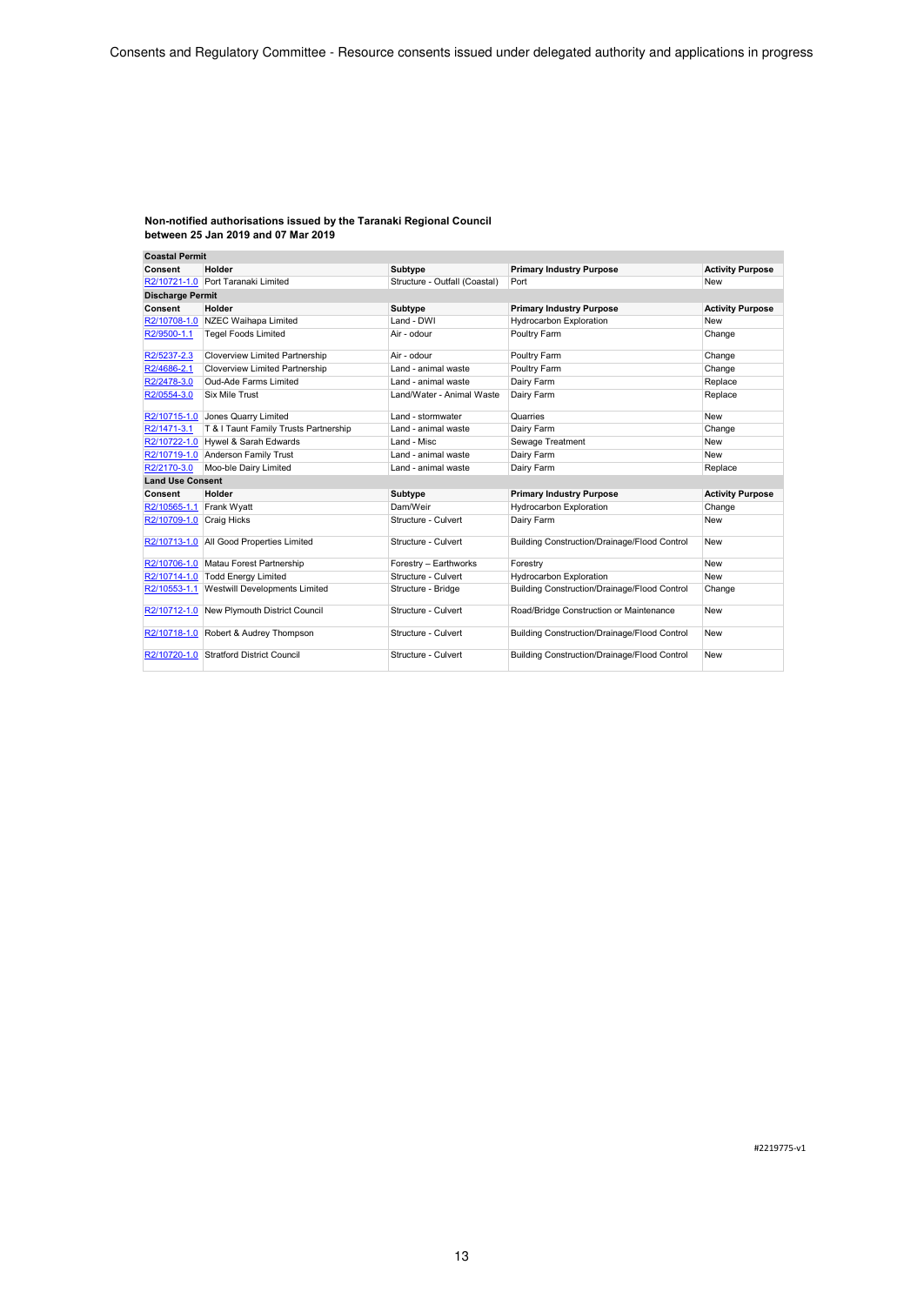| <b>Coastal Permit</b>    |                                            |                               |                                              |                         |
|--------------------------|--------------------------------------------|-------------------------------|----------------------------------------------|-------------------------|
| Consent                  | Holder                                     | <b>Subtype</b>                | <b>Primary Industry Purpose</b>              | <b>Activity Purpose</b> |
|                          | R2/10721-1.0 Port Taranaki Limited         | Structure - Outfall (Coastal) | Port                                         | <b>New</b>              |
| <b>Discharge Permit</b>  |                                            |                               |                                              |                         |
| Consent                  | Holder                                     | Subtype                       | <b>Primary Industry Purpose</b>              | <b>Activity Purpose</b> |
| R2/10708-1.0             | NZEC Waihapa Limited                       | Land - DWI                    | <b>Hydrocarbon Exploration</b>               | New                     |
| R2/9500-1.1              | <b>Tegel Foods Limited</b>                 | Air - odour                   | Poultry Farm                                 | Change                  |
| R2/5237-2.3              | <b>Cloverview Limited Partnership</b>      | Air - odour                   | Poultry Farm                                 | Change                  |
| R2/4686-2.1              | <b>Cloverview Limited Partnership</b>      | Land - animal waste           | Poultry Farm                                 | Change                  |
| R2/2478-3.0              | Oud-Ade Farms Limited                      | Land - animal waste           | Dairy Farm                                   | Replace                 |
| R2/0554-3.0              | <b>Six Mile Trust</b>                      | Land/Water - Animal Waste     | Dairy Farm                                   | Replace                 |
|                          | R2/10715-1.0 Jones Quarry Limited          | Land - stormwater             | Quarries                                     | New                     |
| R2/1471-3.1              | T & I Taunt Family Trusts Partnership      | Land - animal waste           | Dairy Farm                                   | Change                  |
|                          | R2/10722-1.0 Hywel & Sarah Edwards         | Land - Misc                   | Sewage Treatment                             | <b>New</b>              |
|                          | R2/10719-1.0 Anderson Family Trust         | Land - animal waste           | Dairy Farm                                   | <b>New</b>              |
| R2/2170-3.0              | Moo-ble Dairy Limited                      | Land - animal waste           | Dairy Farm                                   | Replace                 |
| <b>Land Use Consent</b>  |                                            |                               |                                              |                         |
| Consent                  | Holder                                     | Subtype                       | <b>Primary Industry Purpose</b>              | <b>Activity Purpose</b> |
| R2/10565-1.1             | Frank Wyatt                                | Dam/Weir                      | <b>Hydrocarbon Exploration</b>               | Change                  |
| R2/10709-1.0 Craig Hicks |                                            | Structure - Culvert           | Dairy Farm                                   | <b>New</b>              |
| R2/10713-1.0             | All Good Properties Limited                | Structure - Culvert           | Building Construction/Drainage/Flood Control | <b>New</b>              |
|                          | R2/10706-1.0 Matau Forest Partnership      | Forestry - Earthworks         | Forestry                                     | <b>New</b>              |
|                          | R2/10714-1.0 Todd Energy Limited           | Structure - Culvert           | <b>Hydrocarbon Exploration</b>               | New                     |
|                          | R2/10553-1.1 Westwill Developments Limited | Structure - Bridge            | Building Construction/Drainage/Flood Control | Change                  |
|                          | R2/10712-1.0 New Plymouth District Council | Structure - Culvert           | Road/Bridge Construction or Maintenance      | <b>New</b>              |
|                          | R2/10718-1.0 Robert & Audrey Thompson      | Structure - Culvert           | Building Construction/Drainage/Flood Control | <b>New</b>              |
|                          | R2/10720-1.0 Stratford District Council    | Structure - Culvert           | Building Construction/Drainage/Flood Control | New                     |

#2219775-v1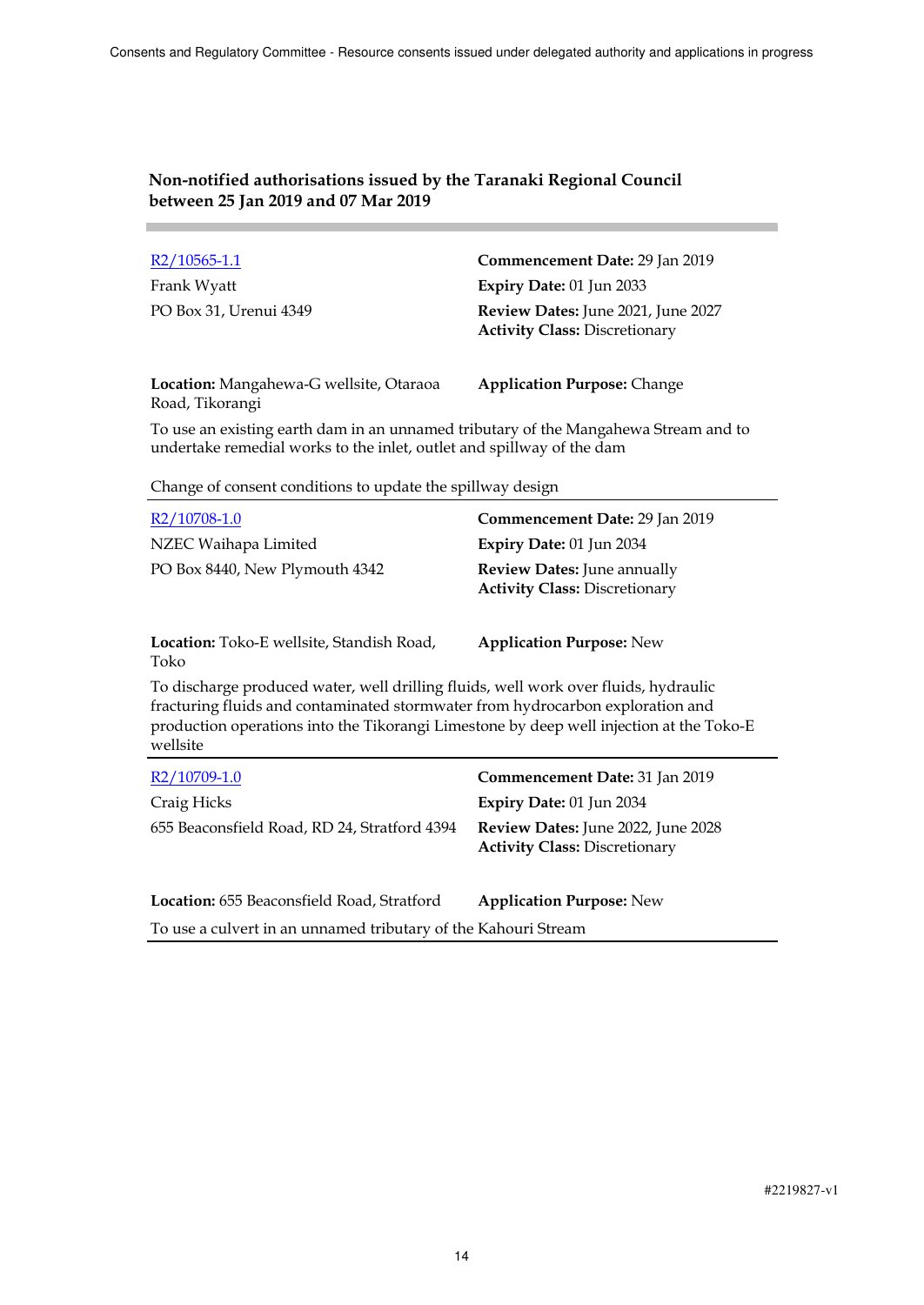| R2/10565-1.1                                               | Commencement Date: 29 Jan 2019                                             |
|------------------------------------------------------------|----------------------------------------------------------------------------|
| Frank Wyatt                                                | Expiry Date: 01 Jun 2033                                                   |
| PO Box 31, Urenui 4349                                     | Review Dates: June 2021, June 2027<br><b>Activity Class: Discretionary</b> |
| Location: Mangahewa-G wellsite, Otaraoa<br>Road, Tikorangi | <b>Application Purpose: Change</b>                                         |

To use an existing earth dam in an unnamed tributary of the Mangahewa Stream and to undertake remedial works to the inlet, outlet and spillway of the dam

Change of consent conditions to update the spillway design

| R <sub>2</sub> /10708-1.0<br>NZEC Waihapa Limited<br>PO Box 8440, New Plymouth 4342                                                                                                                                                                                          | Commencement Date: 29 Jan 2019<br>Expiry Date: 01 Jun 2034<br><b>Review Dates:</b> June annually<br><b>Activity Class: Discretionary</b> |  |
|------------------------------------------------------------------------------------------------------------------------------------------------------------------------------------------------------------------------------------------------------------------------------|------------------------------------------------------------------------------------------------------------------------------------------|--|
| <b>Location:</b> Toko-E wellsite, Standish Road,<br>Toko                                                                                                                                                                                                                     | <b>Application Purpose: New</b>                                                                                                          |  |
| To discharge produced water, well drilling fluids, well work over fluids, hydraulic<br>fracturing fluids and contaminated stormwater from hydrocarbon exploration and<br>production operations into the Tikorangi Limestone by deep well injection at the Toko-E<br>wellsite |                                                                                                                                          |  |
| $R2/10709-1.0$                                                                                                                                                                                                                                                               | <b>Commencement Date: 31 Jan 2019</b>                                                                                                    |  |
| Craig Hicks                                                                                                                                                                                                                                                                  | Expiry Date: $01$ Jun 2034                                                                                                               |  |
| 655 Beaconsfield Road, RD 24, Stratford 4394                                                                                                                                                                                                                                 | Review Dates: June 2022, June 2028<br><b>Activity Class: Discretionary</b>                                                               |  |

**Location:** 655 Beaconsfield Road, Stratford **Application Purpose:** New

To use a culvert in an unnamed tributary of the Kahouri Stream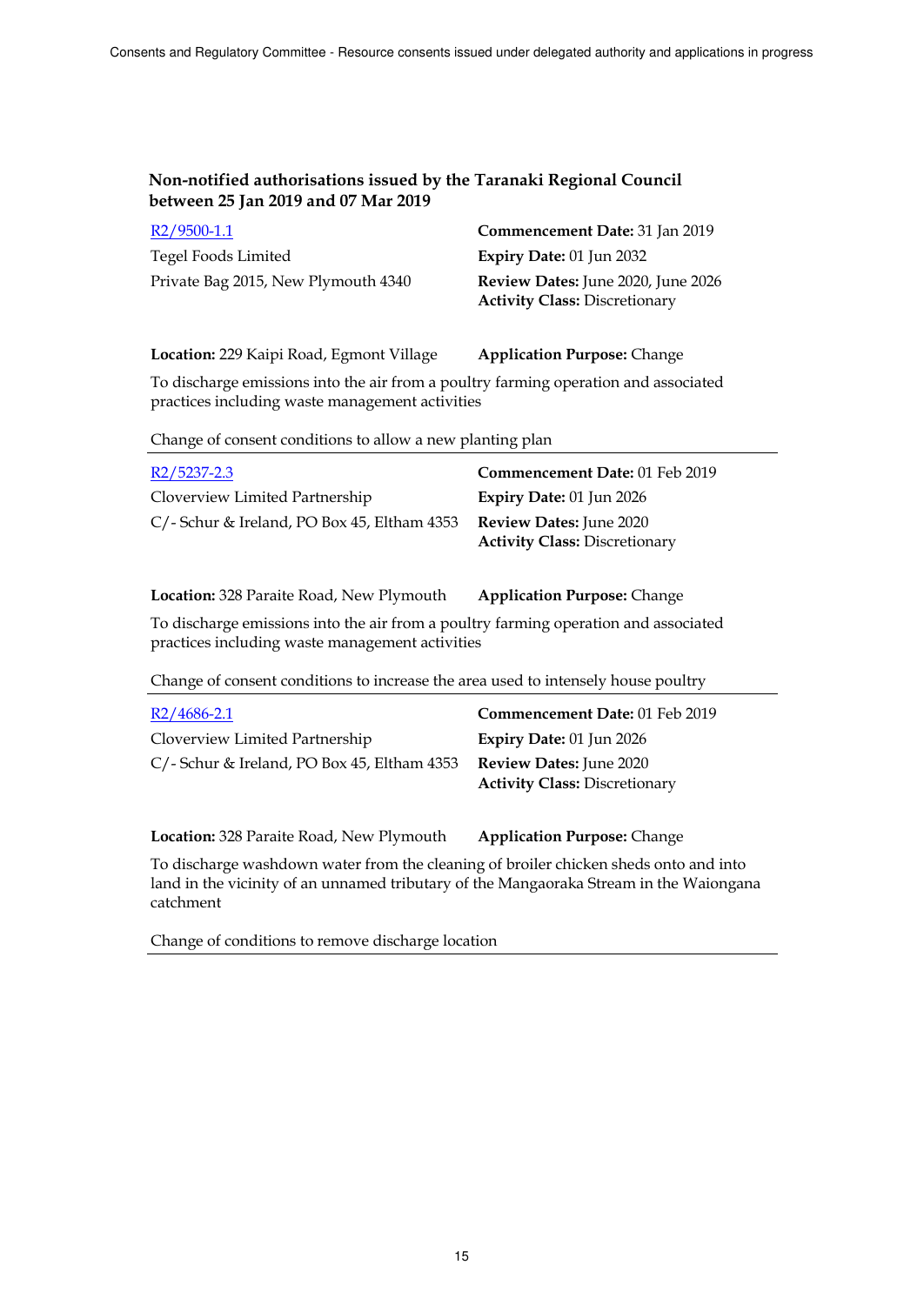| R2/9500-1.1                         | Commencement Date: 31 Jan 2019            |
|-------------------------------------|-------------------------------------------|
| Tegel Foods Limited                 | Expiry Date: $01$ Jun 2032                |
| Private Bag 2015, New Plymouth 4340 | <b>Review Dates:</b> June 2020, June 2026 |
|                                     | <b>Activity Class: Discretionary</b>      |

**Location:** 229 Kaipi Road, Egmont Village **Application Purpose:** Change

To discharge emissions into the air from a poultry farming operation and associated practices including waste management activities

Change of consent conditions to allow a new planting plan

| R2/5237-2.3                                 | Commencement Date: 01 Feb 2019                                         |
|---------------------------------------------|------------------------------------------------------------------------|
| Cloverview Limited Partnership              | Expiry Date: $01$ Jun 2026                                             |
| C/- Schur & Ireland, PO Box 45, Eltham 4353 | <b>Review Dates: June 2020</b><br><b>Activity Class: Discretionary</b> |

**Location:** 328 Paraite Road, New Plymouth **Application Purpose:** Change

To discharge emissions into the air from a poultry farming operation and associated practices including waste management activities

Change of consent conditions to increase the area used to intensely house poultry

| $R2/4686 - 2.1$                                | Commencement Date: 01 Feb 2019                                         |
|------------------------------------------------|------------------------------------------------------------------------|
| Cloverview Limited Partnership                 | Expiry Date: $01$ Jun 2026                                             |
| $C/$ - Schur & Ireland, PO Box 45, Eltham 4353 | <b>Review Dates:</b> June 2020<br><b>Activity Class: Discretionary</b> |

**Location:** 328 Paraite Road, New Plymouth **Application Purpose:** Change

To discharge washdown water from the cleaning of broiler chicken sheds onto and into land in the vicinity of an unnamed tributary of the Mangaoraka Stream in the Waiongana catchment

Change of conditions to remove discharge location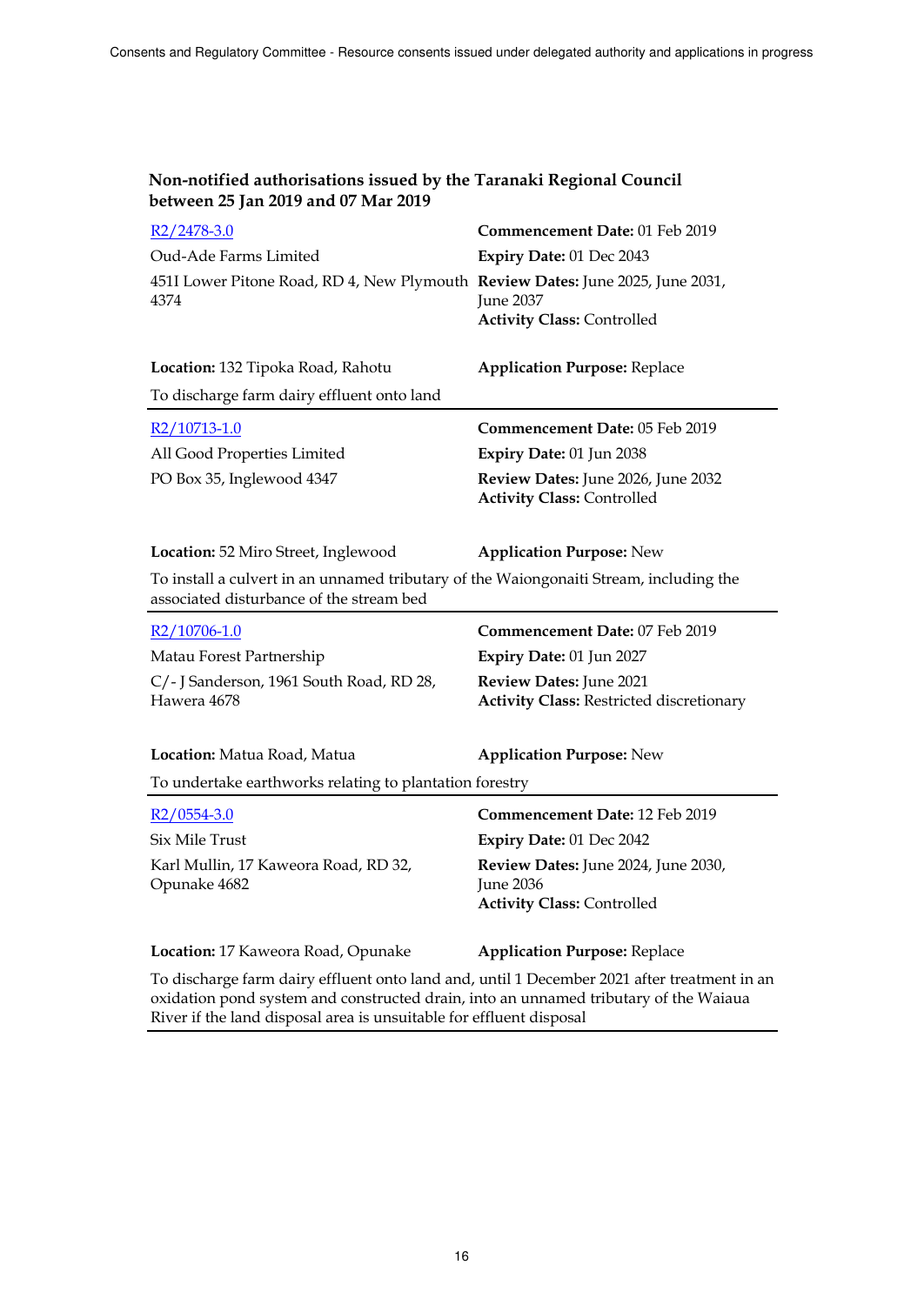| Non-notified authorisations issued by the Taranaki Regional Council |
|---------------------------------------------------------------------|
| between 25 Jan 2019 and 07 Mar 2019                                 |

| $R2/2478-3.0$                                                                                                                      | Commencement Date: 01 Feb 2019                                                        |  |
|------------------------------------------------------------------------------------------------------------------------------------|---------------------------------------------------------------------------------------|--|
| Oud-Ade Farms Limited                                                                                                              | Expiry Date: 01 Dec 2043                                                              |  |
| 451I Lower Pitone Road, RD 4, New Plymouth Review Dates: June 2025, June 2031,<br>4374                                             | June 2037                                                                             |  |
|                                                                                                                                    | <b>Activity Class: Controlled</b>                                                     |  |
| Location: 132 Tipoka Road, Rahotu                                                                                                  | <b>Application Purpose: Replace</b>                                                   |  |
| To discharge farm dairy effluent onto land                                                                                         |                                                                                       |  |
| R2/10713-1.0                                                                                                                       | Commencement Date: 05 Feb 2019                                                        |  |
| All Good Properties Limited                                                                                                        | Expiry Date: 01 Jun 2038                                                              |  |
| PO Box 35, Inglewood 4347                                                                                                          | Review Dates: June 2026, June 2032<br><b>Activity Class: Controlled</b>               |  |
| Location: 52 Miro Street, Inglewood                                                                                                | <b>Application Purpose: New</b>                                                       |  |
| To install a culvert in an unnamed tributary of the Waiongonaiti Stream, including the<br>associated disturbance of the stream bed |                                                                                       |  |
| $R2/10706-1.0$                                                                                                                     | Commencement Date: 07 Feb 2019                                                        |  |
| Matau Forest Partnership                                                                                                           | Expiry Date: 01 Jun 2027                                                              |  |
| C/- J Sanderson, 1961 South Road, RD 28,                                                                                           | Review Dates: June 2021                                                               |  |
| Hawera 4678                                                                                                                        | <b>Activity Class: Restricted discretionary</b>                                       |  |
| Location: Matua Road, Matua                                                                                                        | <b>Application Purpose: New</b>                                                       |  |
| To undertake earthworks relating to plantation forestry                                                                            |                                                                                       |  |
| $R2/0554-3.0$                                                                                                                      | Commencement Date: 12 Feb 2019                                                        |  |
| <b>Six Mile Trust</b>                                                                                                              | Expiry Date: 01 Dec 2042                                                              |  |
| Karl Mullin, 17 Kaweora Road, RD 32,<br>Opunake 4682                                                                               | Review Dates: June 2024, June 2030,<br>June 2036<br><b>Activity Class: Controlled</b> |  |
| Location: 17 Kaweora Road, Opunake                                                                                                 | <b>Application Purpose: Replace</b>                                                   |  |
| To disclosure from deign official ante land and contil 1 December 2021 efter together antique                                      |                                                                                       |  |

To discharge farm dairy effluent onto land and, until 1 December 2021 after treatment in an oxidation pond system and constructed drain, into an unnamed tributary of the Waiaua River if the land disposal area is unsuitable for effluent disposal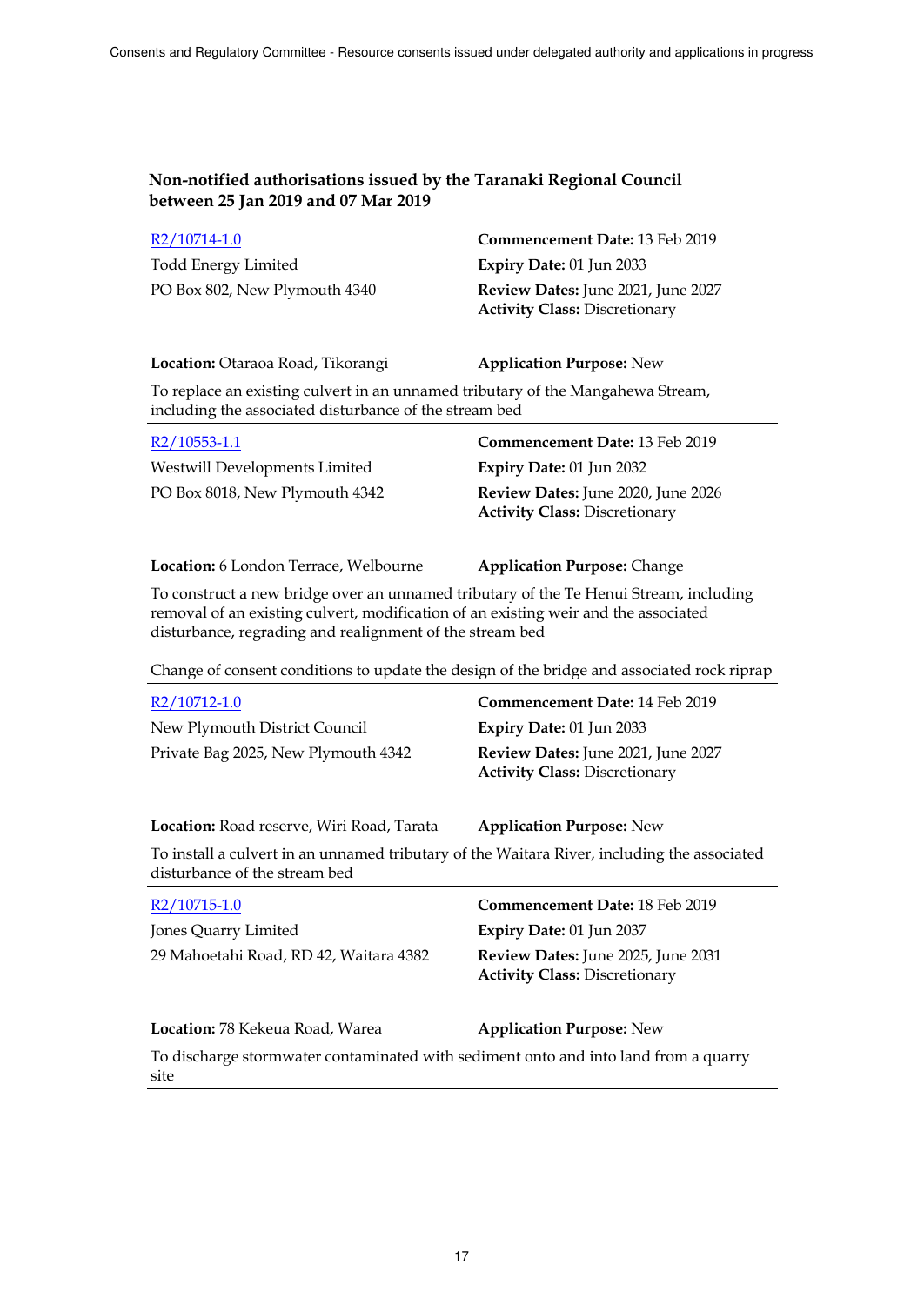| R2/10714-1.0                  | <b>Commencement Date: 13 Feb 2019</b>                                             |
|-------------------------------|-----------------------------------------------------------------------------------|
| Todd Energy Limited           | Expiry Date: $01$ Jun 2033                                                        |
| PO Box 802, New Plymouth 4340 | <b>Review Dates:</b> June 2021, June 2027<br><b>Activity Class: Discretionary</b> |

**Location:** Otaraoa Road, Tikorangi **Application Purpose:** New

To replace an existing culvert in an unnamed tributary of the Mangahewa Stream, including the associated disturbance of the stream bed

| R2/10553-1.1                   | Commencement Date: 13 Feb 2019                                             |
|--------------------------------|----------------------------------------------------------------------------|
| Westwill Developments Limited  | Expiry Date: $01$ Jun 2032                                                 |
| PO Box 8018, New Plymouth 4342 | Review Dates: June 2020, June 2026<br><b>Activity Class: Discretionary</b> |

| Location: 6 London Terrace, Welbourne | <b>Application Purpose: Change</b> |
|---------------------------------------|------------------------------------|
|---------------------------------------|------------------------------------|

To construct a new bridge over an unnamed tributary of the Te Henui Stream, including removal of an existing culvert, modification of an existing weir and the associated disturbance, regrading and realignment of the stream bed

Change of consent conditions to update the design of the bridge and associated rock riprap

| R2/10712-1.0                        | Commencement Date: 14 Feb 2019                                             |
|-------------------------------------|----------------------------------------------------------------------------|
| New Plymouth District Council       | Expiry Date: $01$ Jun 2033                                                 |
| Private Bag 2025, New Plymouth 4342 | Review Dates: June 2021, June 2027<br><b>Activity Class: Discretionary</b> |

**Location:** Road reserve, Wiri Road, Tarata **Application Purpose:** New

To install a culvert in an unnamed tributary of the Waitara River, including the associated disturbance of the stream bed

| $R2/10715-1.0$                                                                               | Commencement Date: 18 Feb 2019                                             |
|----------------------------------------------------------------------------------------------|----------------------------------------------------------------------------|
| Jones Quarry Limited                                                                         | Expiry Date: 01 Jun 2037                                                   |
| 29 Mahoetahi Road, RD 42, Waitara 4382                                                       | Review Dates: June 2025, June 2031<br><b>Activity Class: Discretionary</b> |
| Location: 78 Kekeua Road, Warea                                                              | <b>Application Purpose: New</b>                                            |
| To disclosure staggerize tog soutencies to disclude as dimenses and ante land from a second- |                                                                            |

To discharge stormwater contaminated with sediment onto and into land from a quarry site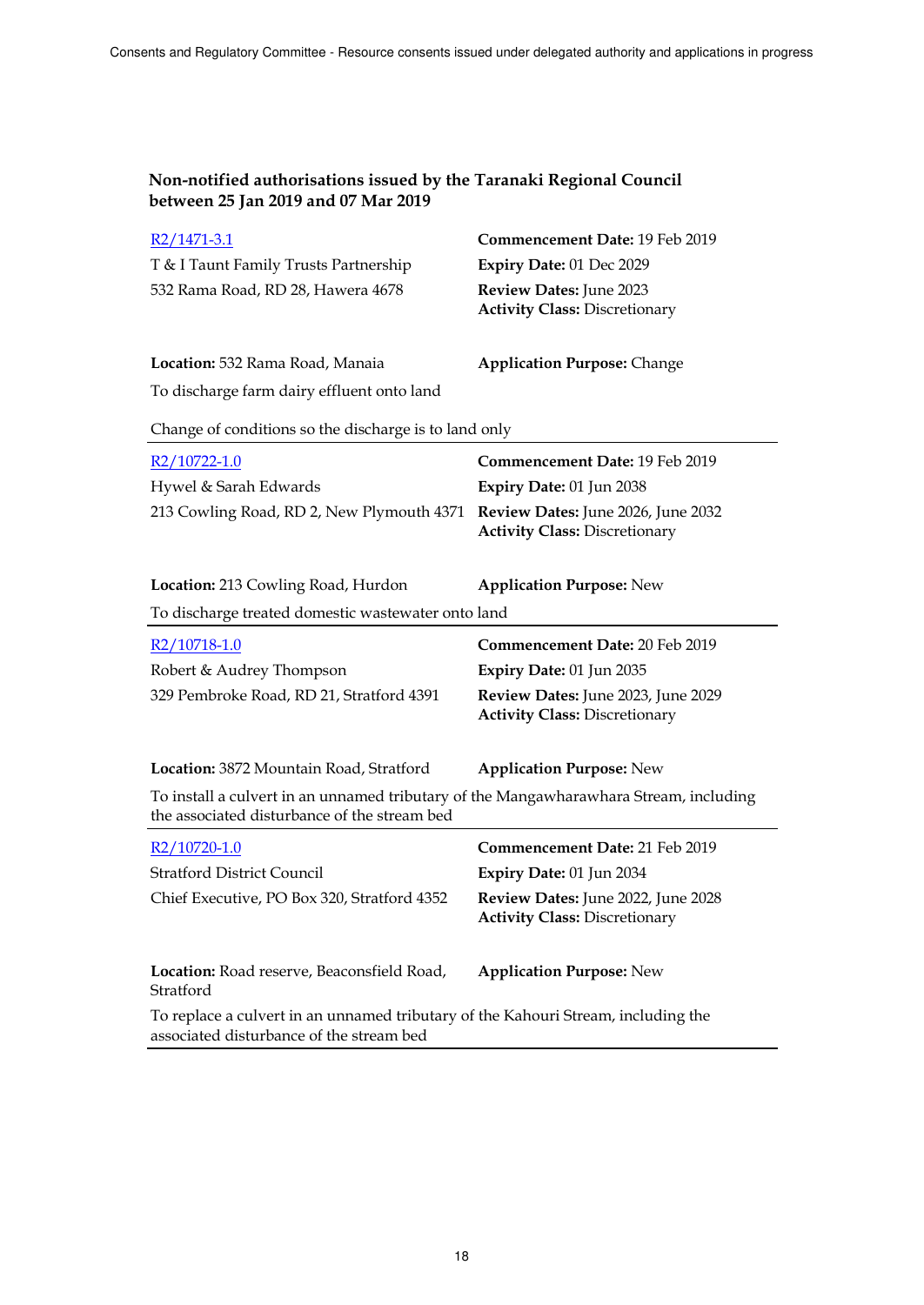| $R2/1471-3.1$<br>T & I Taunt Family Trusts Partnership<br>532 Rama Road, RD 28, Hawera 4678                                           | Commencement Date: 19 Feb 2019<br>Expiry Date: 01 Dec 2029<br>Review Dates: June 2023<br><b>Activity Class: Discretionary</b> |  |
|---------------------------------------------------------------------------------------------------------------------------------------|-------------------------------------------------------------------------------------------------------------------------------|--|
| Location: 532 Rama Road, Manaia                                                                                                       | <b>Application Purpose: Change</b>                                                                                            |  |
| To discharge farm dairy effluent onto land                                                                                            |                                                                                                                               |  |
| Change of conditions so the discharge is to land only                                                                                 |                                                                                                                               |  |
| $R2/10722-1.0$                                                                                                                        | <b>Commencement Date: 19 Feb 2019</b>                                                                                         |  |
| Hywel & Sarah Edwards                                                                                                                 | Expiry Date: 01 Jun 2038                                                                                                      |  |
| 213 Cowling Road, RD 2, New Plymouth 4371 Review Dates: June 2026, June 2032                                                          | <b>Activity Class: Discretionary</b>                                                                                          |  |
| Location: 213 Cowling Road, Hurdon                                                                                                    | <b>Application Purpose: New</b>                                                                                               |  |
| To discharge treated domestic wastewater onto land                                                                                    |                                                                                                                               |  |
| $R2/10718-1.0$                                                                                                                        | Commencement Date: 20 Feb 2019                                                                                                |  |
| Robert & Audrey Thompson                                                                                                              | Expiry Date: 01 Jun 2035                                                                                                      |  |
| 329 Pembroke Road, RD 21, Stratford 4391                                                                                              | Review Dates: June 2023, June 2029<br><b>Activity Class: Discretionary</b>                                                    |  |
| Location: 3872 Mountain Road, Stratford                                                                                               | <b>Application Purpose: New</b>                                                                                               |  |
| To install a culvert in an unnamed tributary of the Mangawharawhara Stream, including<br>the associated disturbance of the stream bed |                                                                                                                               |  |
| $R2/10720-1.0$                                                                                                                        | Commencement Date: 21 Feb 2019                                                                                                |  |
| <b>Stratford District Council</b>                                                                                                     | Expiry Date: 01 Jun 2034                                                                                                      |  |
| Chief Executive, PO Box 320, Stratford 4352                                                                                           | Review Dates: June 2022, June 2028<br><b>Activity Class: Discretionary</b>                                                    |  |
| Location: Road reserve, Beaconsfield Road,<br>Stratford                                                                               | <b>Application Purpose: New</b>                                                                                               |  |
| To replace a culvert in an unnamed tributary of the Kahouri Stream, including the<br>associated disturbance of the stream bed         |                                                                                                                               |  |